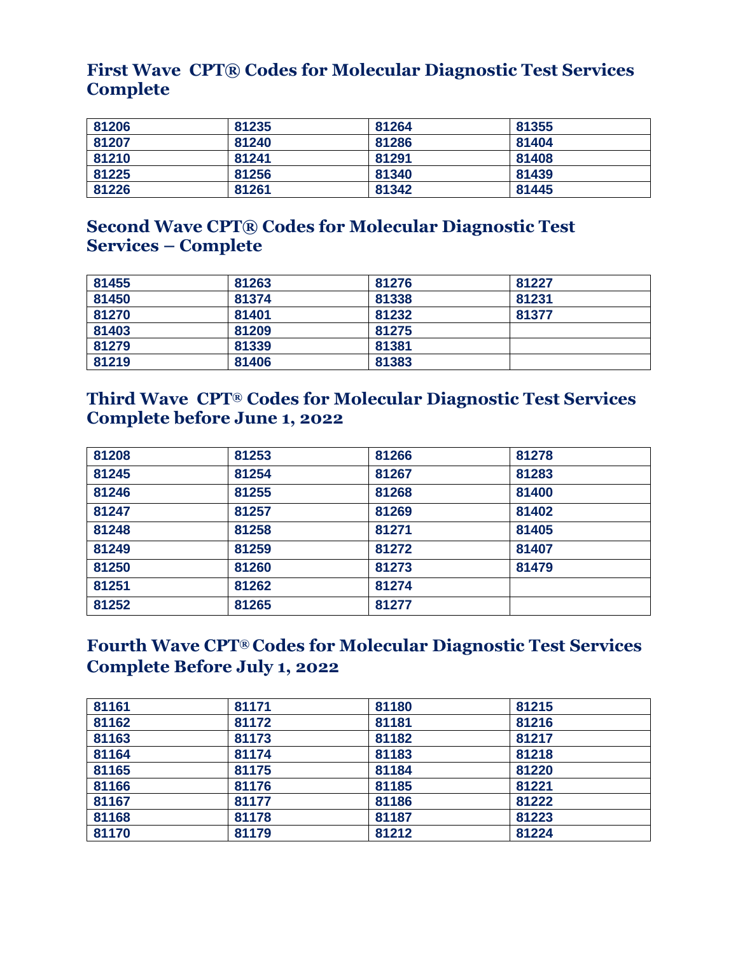## **First Wave CPT® Codes for Molecular Diagnostic Test Services Complete**

| 81206 | 81235 | 81264 | 81355 |
|-------|-------|-------|-------|
| 81207 | 81240 | 81286 | 81404 |
| 81210 | 81241 | 81291 | 81408 |
| 81225 | 81256 | 81340 | 81439 |
| 81226 | 81261 | 81342 | 81445 |

# **Second Wave CPT® Codes for Molecular Diagnostic Test Services – Complete**

| 81455 | 81263 | 81276 | 81227 |
|-------|-------|-------|-------|
| 81450 | 81374 | 81338 | 81231 |
| 81270 | 81401 | 81232 | 81377 |
| 81403 | 81209 | 81275 |       |
| 81279 | 81339 | 81381 |       |
| 81219 | 81406 | 81383 |       |

## **Third Wave CPT® Codes for Molecular Diagnostic Test Services Complete before June 1, 2022**

| 81253 | 81266 | 81278 |
|-------|-------|-------|
| 81254 | 81267 | 81283 |
| 81255 | 81268 | 81400 |
| 81257 | 81269 | 81402 |
| 81258 | 81271 | 81405 |
| 81259 | 81272 | 81407 |
| 81260 | 81273 | 81479 |
| 81262 | 81274 |       |
| 81265 | 81277 |       |
|       |       |       |

## **Fourth Wave CPT® Codes for Molecular Diagnostic Test Services Complete Before July 1, 2022**

| 81161 | 81171 | 81180 | 81215 |  |
|-------|-------|-------|-------|--|
| 81162 | 81172 | 81181 | 81216 |  |
| 81163 | 81173 | 81182 | 81217 |  |
| 81164 | 81174 | 81183 | 81218 |  |
| 81165 | 81175 | 81184 | 81220 |  |
| 81166 | 81176 | 81185 | 81221 |  |
| 81167 | 81177 | 81186 | 81222 |  |
| 81168 | 81178 | 81187 | 81223 |  |
| 81170 | 81179 | 81212 | 81224 |  |
|       |       |       |       |  |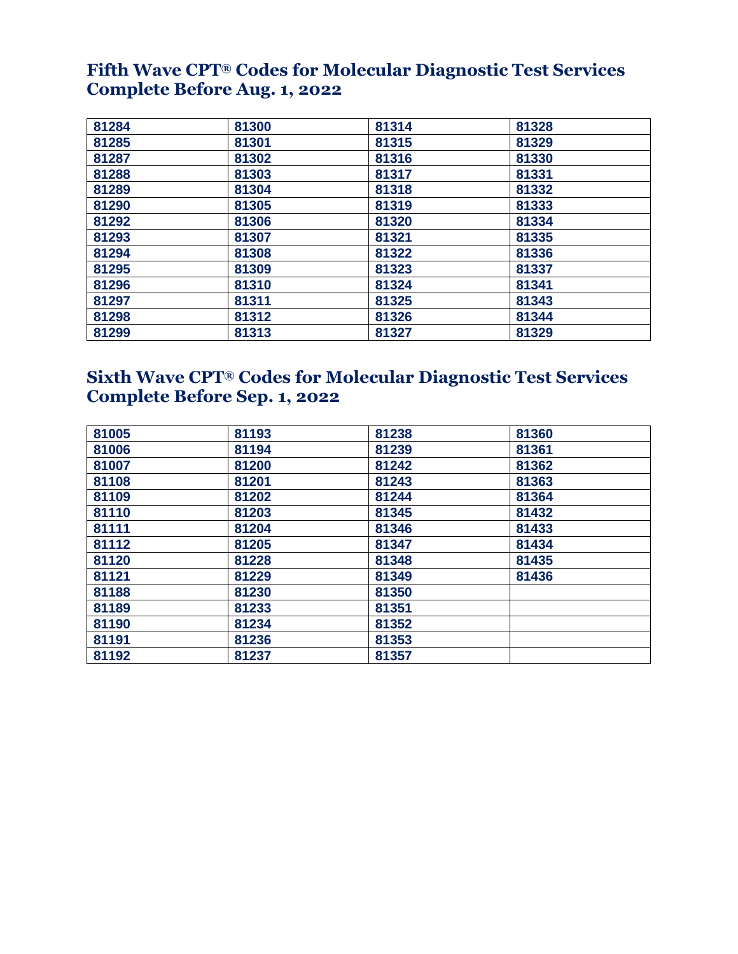## **Fifth Wave CPT® Codes for Molecular Diagnostic Test Services Complete Before Aug. 1, 2022**

| 81284 | 81300 | 81314 | 81328 |
|-------|-------|-------|-------|
| 81285 | 81301 | 81315 | 81329 |
| 81287 | 81302 | 81316 | 81330 |
| 81288 | 81303 | 81317 | 81331 |
| 81289 | 81304 | 81318 | 81332 |
| 81290 | 81305 | 81319 | 81333 |
| 81292 | 81306 | 81320 | 81334 |
| 81293 | 81307 | 81321 | 81335 |
| 81294 | 81308 | 81322 | 81336 |
| 81295 | 81309 | 81323 | 81337 |
| 81296 | 81310 | 81324 | 81341 |
| 81297 | 81311 | 81325 | 81343 |
| 81298 | 81312 | 81326 | 81344 |
| 81299 | 81313 | 81327 | 81329 |

# **Sixth Wave CPT® Codes for Molecular Diagnostic Test Services Complete Before Sep. 1, 2022**

| 81005 | 81193 | 81238 | 81360 |  |
|-------|-------|-------|-------|--|
| 81006 | 81194 | 81239 | 81361 |  |
| 81007 | 81200 | 81242 | 81362 |  |
| 81108 | 81201 | 81243 | 81363 |  |
| 81109 | 81202 | 81244 | 81364 |  |
| 81110 | 81203 | 81345 | 81432 |  |
| 81111 | 81204 | 81346 | 81433 |  |
| 81112 | 81205 | 81347 | 81434 |  |
| 81120 | 81228 | 81348 | 81435 |  |
| 81121 | 81229 | 81349 | 81436 |  |
| 81188 | 81230 | 81350 |       |  |
| 81189 | 81233 | 81351 |       |  |
| 81190 | 81234 | 81352 |       |  |
| 81191 | 81236 | 81353 |       |  |
| 81192 | 81237 | 81357 |       |  |
|       |       |       |       |  |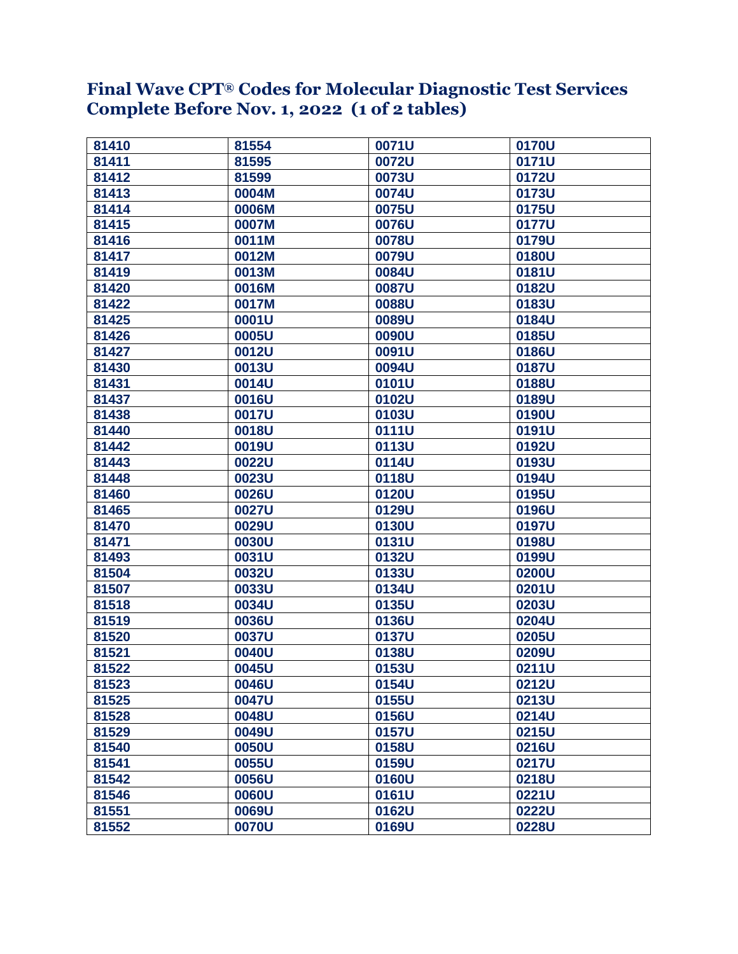#### **Final Wave CPT® Codes for Molecular Diagnostic Test Services Complete Before Nov. 1, 2022 (1 of 2 tables)**

| 81410 | 81554 | 0071U | 0170U |
|-------|-------|-------|-------|
| 81411 | 81595 | 0072U | 0171U |
| 81412 | 81599 | 0073U | 0172U |
| 81413 | 0004M | 0074U | 0173U |
| 81414 | 0006M | 0075U | 0175U |
| 81415 | 0007M | 0076U | 0177U |
| 81416 | 0011M | 0078U | 0179U |
| 81417 | 0012M | 0079U | 0180U |
| 81419 | 0013M | 0084U | 0181U |
| 81420 | 0016M | 0087U | 0182U |
| 81422 | 0017M | 0088U | 0183U |
| 81425 | 0001U | 0089U | 0184U |
| 81426 | 0005U | 0090U | 0185U |
| 81427 | 0012U | 0091U | 0186U |
| 81430 | 0013U | 0094U | 0187U |
| 81431 | 0014U | 0101U | 0188U |
| 81437 | 0016U | 0102U | 0189U |
| 81438 | 0017U | 0103U | 0190U |
| 81440 | 0018U | 0111U | 0191U |
| 81442 | 0019U | 0113U | 0192U |
| 81443 | 0022U | 0114U | 0193U |
| 81448 | 0023U | 0118U | 0194U |
| 81460 | 0026U | 0120U | 0195U |
| 81465 | 0027U | 0129U | 0196U |
| 81470 | 0029U | 0130U | 0197U |
| 81471 | 0030U | 0131U | 0198U |
| 81493 | 0031U | 0132U | 0199U |
| 81504 | 0032U | 0133U | 0200U |
| 81507 | 0033U | 0134U | 0201U |
| 81518 | 0034U | 0135U | 0203U |
| 81519 | 0036U | 0136U | 0204U |
| 81520 | 0037U | 0137U | 0205U |
| 81521 | 0040U | 0138U | 0209U |
| 81522 | 0045U | 0153U | 0211U |
| 81523 | 0046U | 0154U | 0212U |
| 81525 | 0047U | 0155U | 0213U |
| 81528 | 0048U | 0156U | 0214U |
| 81529 | 0049U | 0157U | 0215U |
| 81540 | 0050U | 0158U | 0216U |
| 81541 | 0055U | 0159U | 0217U |
| 81542 | 0056U | 0160U | 0218U |
| 81546 | 0060U | 0161U | 0221U |
| 81551 | 0069U | 0162U | 0222U |
| 81552 | 0070U | 0169U | 0228U |
|       |       |       |       |